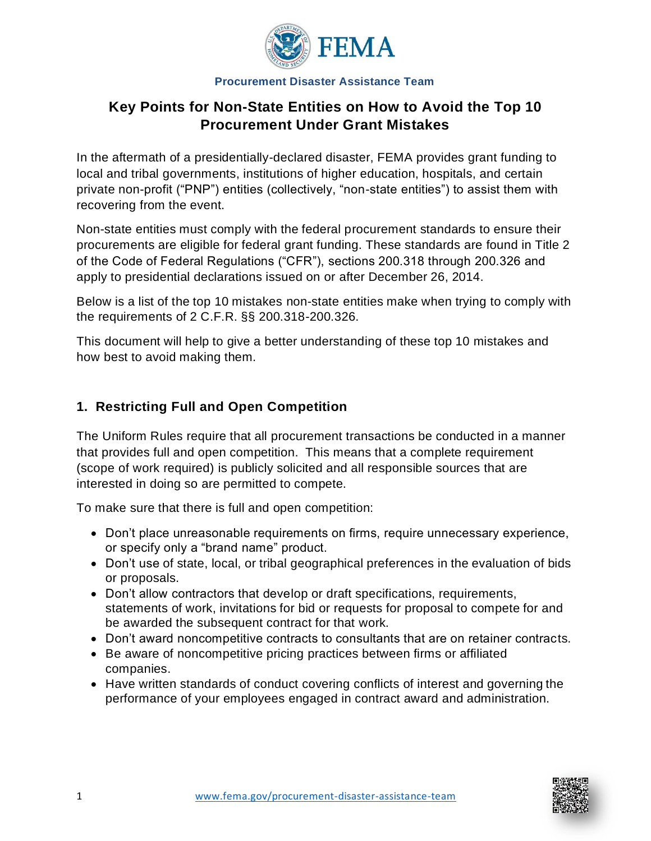

# **Key Points for Non-State Entities on How to Avoid the Top 10 Procurement Under Grant Mistakes**

 private non-profit ("PNP") entities (collectively, "non-state entities") to assist them with In the aftermath of a presidentially-declared disaster, FEMA provides grant funding to local and tribal governments, institutions of higher education, hospitals, and certain recovering from the event.

 of the Code of Federal Regulations ("CFR"), sections 200.318 through 200.326 and Non-state entities must comply with the federal procurement standards to ensure their procurements are eligible for federal grant funding. These standards are found in Title 2 apply to presidential declarations issued on or after December 26, 2014.

Below is a list of the top 10 mistakes non-state entities make when trying to comply with the requirements of 2 C.F.R. §§ 200.318-200.326.

This document will help to give a better understanding of these top 10 mistakes and how best to avoid making them.

## **1. Restricting Full and Open Competition**

The Uniform Rules require that all procurement transactions be conducted in a manner that provides full and open competition. This means that a complete requirement (scope of work required) is publicly solicited and all responsible sources that are interested in doing so are permitted to compete.

To make sure that there is full and open competition:

- • Don't place unreasonable requirements on firms, require unnecessary experience, or specify only a "brand name" product.
- • Don't use of state, local, or tribal geographical preferences in the evaluation of bids or proposals.
- • Don't allow contractors that develop or draft specifications, requirements, statements of work, invitations for bid or requests for proposal to compete for and be awarded the subsequent contract for that work.
- Don't award noncompetitive contracts to consultants that are on retainer contracts.
- Be aware of noncompetitive pricing practices between firms or affiliated companies.
- Have written standards of conduct covering conflicts of interest and governing the performance of your employees engaged in contract award and administration.

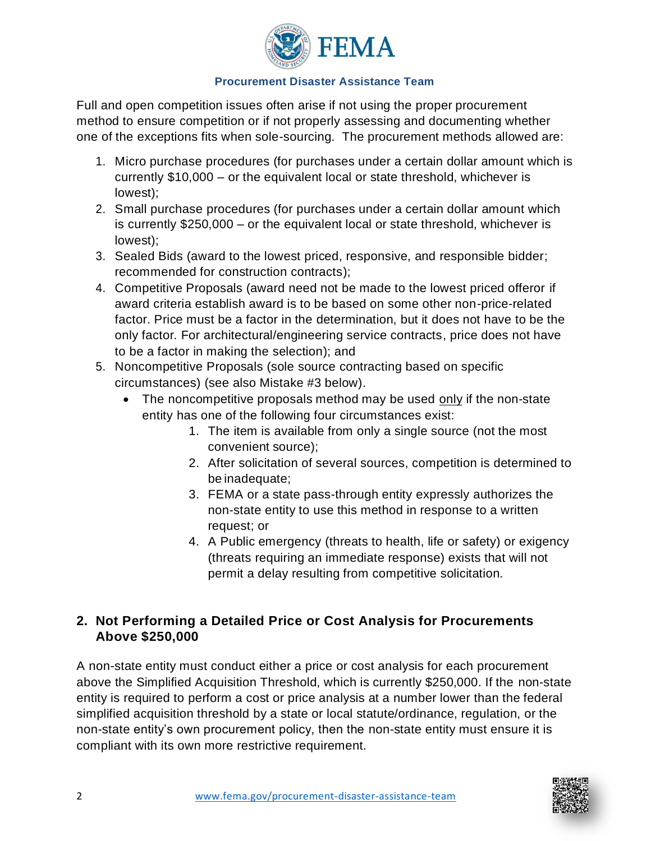

Full and open competition issues often arise if not using the proper procurement method to ensure competition or if not properly assessing and documenting whether one of the exceptions fits when sole-sourcing. The procurement methods allowed are:

- 1. Micro purchase procedures (for purchases under a certain dollar amount which is currently \$10,000 – or the equivalent local or state threshold, whichever is lowest);
- 2. Small purchase procedures (for purchases under a certain dollar amount which is currently \$250,000 – or the equivalent local or state threshold, whichever is lowest);
- 3. Sealed Bids (award to the lowest priced, responsive, and responsible bidder; recommended for construction contracts);
- 4. Competitive Proposals (award need not be made to the lowest priced offeror if award criteria establish award is to be based on some other non-price-related factor. Price must be a factor in the determination, but it does not have to be the only factor. For architectural/engineering service contracts, price does not have to be a factor in making the selection); and
- 5. Noncompetitive Proposals (sole source contracting based on specific circumstances) (see also Mistake #3 below).
	- The noncompetitive proposals method may be used only if the non-state entity has one of the following four circumstances exist:
		- 1. The item is available from only a single source (not the most convenient source);
		- 2. After solicitation of several sources, competition is determined to be inadequate;
		- 3. FEMA or a state pass-through entity expressly authorizes the non-state entity to use this method in response to a written request; or
		- 4. A Public emergency (threats to health, life or safety) or exigency (threats requiring an immediate response) exists that will not permit a delay resulting from competitive solicitation.

# **2. Not Performing a Detailed Price or Cost Analysis for Procurements Above \$250,000**

 non-state entity's own procurement policy, then the non-state entity must ensure it is A non-state entity must conduct either a price or cost analysis for each procurement above the Simplified Acquisition Threshold, which is currently \$250,000. If the non-state entity is required to perform a cost or price analysis at a number lower than the federal simplified acquisition threshold by a state or local statute/ordinance, regulation, or the compliant with its own more restrictive requirement.

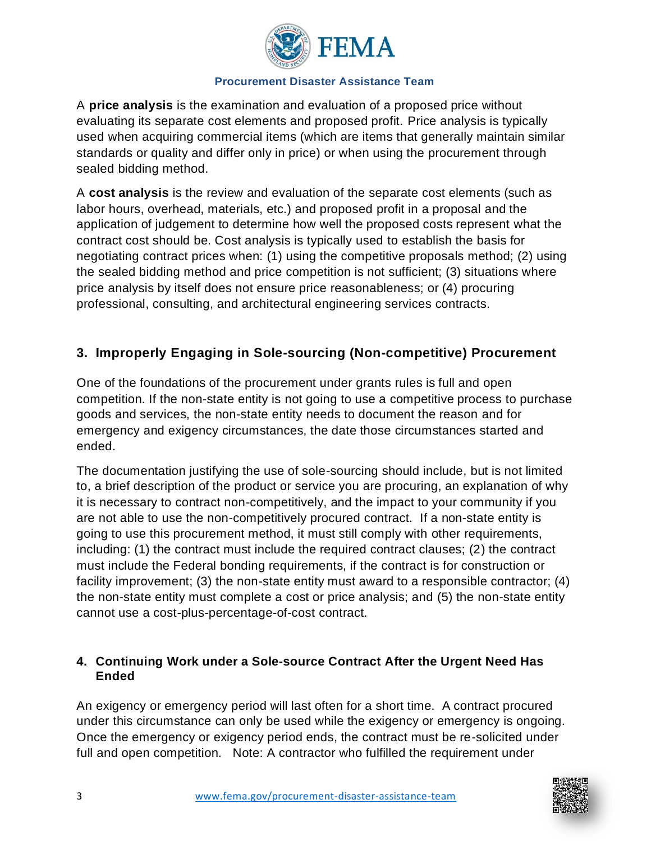

A **price analysis** is the examination and evaluation of a proposed price without evaluating its separate cost elements and proposed profit. Price analysis is typically used when acquiring commercial items (which are items that generally maintain similar standards or quality and differ only in price) or when using the procurement through sealed bidding method.

A **cost analysis** is the review and evaluation of the separate cost elements (such as labor hours, overhead, materials, etc.) and proposed profit in a proposal and the application of judgement to determine how well the proposed costs represent what the contract cost should be. Cost analysis is typically used to establish the basis for negotiating contract prices when: (1) using the competitive proposals method; (2) using the sealed bidding method and price competition is not sufficient; (3) situations where price analysis by itself does not ensure price reasonableness; or (4) procuring professional, consulting, and architectural engineering services contracts.

## **3. Improperly Engaging in Sole-sourcing (Non-competitive) Procurement**

One of the foundations of the procurement under grants rules is full and open competition. If the non-state entity is not going to use a competitive process to purchase goods and services, the non-state entity needs to document the reason and for emergency and exigency circumstances, the date those circumstances started and ended.

The documentation justifying the use of sole-sourcing should include, but is not limited to, a brief description of the product or service you are procuring, an explanation of why it is necessary to contract non-competitively, and the impact to your community if you are not able to use the non-competitively procured contract. If a non-state entity is going to use this procurement method, it must still comply with other requirements, including: (1) the contract must include the required contract clauses; (2) the contract must include the Federal bonding requirements, if the contract is for construction or facility improvement; (3) the non-state entity must award to a responsible contractor; (4) the non-state entity must complete a cost or price analysis; and (5) the non-state entity cannot use a cost-plus-percentage-of-cost contract.

### **4. Continuing Work under a Sole-source Contract After the Urgent Need Has Ended**

An exigency or emergency period will last often for a short time. A contract procured under this circumstance can only be used while the exigency or emergency is ongoing. Once the emergency or exigency period ends, the contract must be re-solicited under full and open competition. Note: A contractor who fulfilled the requirement under

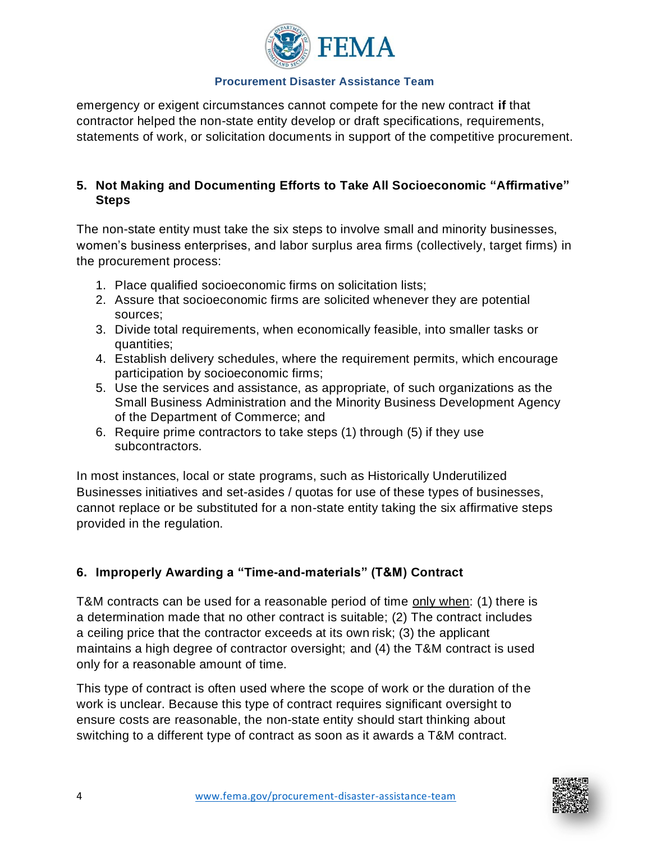

emergency or exigent circumstances cannot compete for the new contract **if** that contractor helped the non-state entity develop or draft specifications, requirements, statements of work, or solicitation documents in support of the competitive procurement.

### **5. Not Making and Documenting Efforts to Take All Socioeconomic "Affirmative" Steps**

 women's business enterprises, and labor surplus area firms (collectively, target firms) in The non-state entity must take the six steps to involve small and minority businesses, the procurement process:

- 1. Place qualified socioeconomic firms on solicitation lists;
- 2. Assure that socioeconomic firms are solicited whenever they are potential sources;
- 3. Divide total requirements, when economically feasible, into smaller tasks or quantities;
- 4. Establish delivery schedules, where the requirement permits, which encourage participation by socioeconomic firms;
- 5. Use the services and assistance, as appropriate, of such organizations as the Small Business Administration and the Minority Business Development Agency of the Department of Commerce; and
- 6. Require prime contractors to take steps (1) through (5) if they use subcontractors.

In most instances, local or state programs, such as Historically Underutilized Businesses initiatives and set-asides / quotas for use of these types of businesses, cannot replace or be substituted for a non-state entity taking the six affirmative steps provided in the regulation.

### **6. Improperly Awarding a "Time-and-materials" (T&M) Contract**

T&M contracts can be used for a reasonable period of time only when: (1) there is a determination made that no other contract is suitable; (2) The contract includes a ceiling price that the contractor exceeds at its own risk; (3) the applicant maintains a high degree of contractor oversight; and (4) the T&M contract is used only for a reasonable amount of time.

This type of contract is often used where the scope of work or the duration of the work is unclear. Because this type of contract requires significant oversight to ensure costs are reasonable, the non-state entity should start thinking about switching to a different type of contract as soon as it awards a T&M contract.

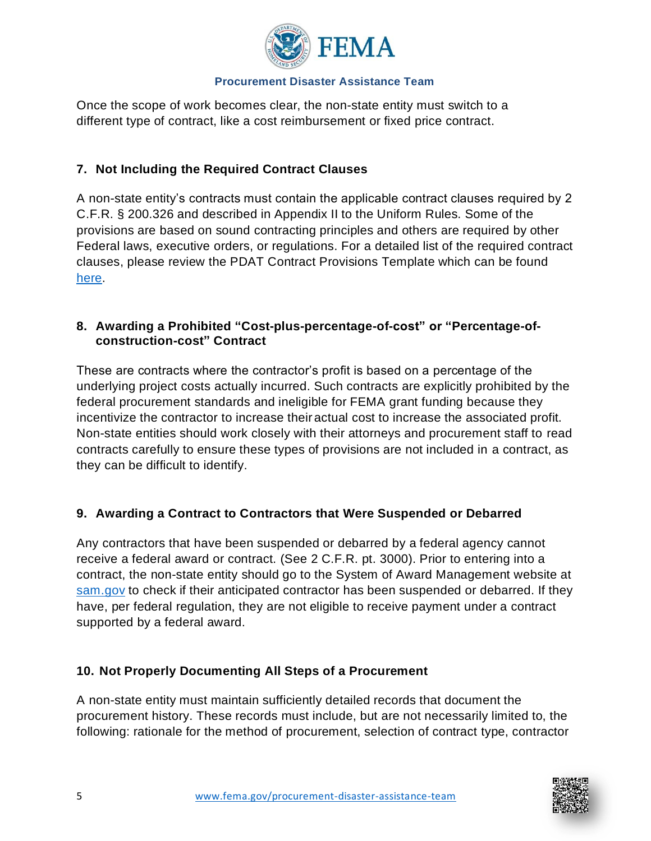

Once the scope of work becomes clear, the non-state entity must switch to a different type of contract, like a cost reimbursement or fixed price contract.

### **7. Not Including the Required Contract Clauses**

 A non-state entity's contracts must contain the applicable contract clauses required by 2 C.F.R. § 200.326 and described in Appendix II to the Uniform Rules. Some of the provisions are based on sound contracting principles and others are required by other Federal laws, executive orders, or regulations. For a detailed list of the required contract clauses, please review the PDAT Contract Provisions Template which can be found [here.](https://www.fema.gov/media-library-data/1483976790556-96bfcf3bf2c64e94d6f63dd4169a7d2c/RequiredContractClauses2C.F.R.200.326and2C.F.R.Part200AppendixII10917.pdf)

### **8. Awarding a Prohibited "Cost-plus-percentage-of-cost" or "Percentage-ofconstruction-cost" Contract**

 These are contracts where the contractor's profit is based on a percentage of the underlying project costs actually incurred. Such contracts are explicitly prohibited by the federal procurement standards and ineligible for FEMA grant funding because they incentivize the contractor to increase their actual cost to increase the associated profit. Non-state entities should work closely with their attorneys and procurement staff to read contracts carefully to ensure these types of provisions are not included in a contract, as they can be difficult to identify.

### **9. Awarding a Contract to Contractors that Were Suspended or Debarred**

Any contractors that have been suspended or debarred by a federal agency cannot receive a federal award or contract. (See 2 C.F.R. pt. 3000). Prior to entering into a contract, the non-state entity should go to the System of Award Management website at [sam.gov](https://www.sam.gov/portal/SAM/?navigationalstate=JBPNS_rO0ABXdcACJqYXZheC5mYWNlcy5wb3J0bGV0YnJpZGdlLlNUQVRFX0lEAAAAAQApdmlldzo5MmNkMTg3OC1iOTA5LTRkMmYtODI1Yi02NDJhZTJlNzZkYzcAB19fRU9GX18*&portal:componentId=31be779b-ffb7-4907-b7b1-e74a85af25d6&interactionstate=JBPNS_rO0ABXc3ABBfanNmQnJpZGdlVmlld0lkAAAAAQAWL2pzZi9kYnNpZ2h0U2VhcmNoLmpzcAAHX19FT0ZfXw**&portal:type=action) to check if their anticipated contractor has been suspended or debarred. If they have, per federal regulation, they are not eligible to receive payment under a contract supported by a federal award.

#### **10. Not Properly Documenting All Steps of a Procurement**

A non-state entity must maintain sufficiently detailed records that document the procurement history. These records must include, but are not necessarily limited to, the following: rationale for the method of procurement, selection of contract type, contractor

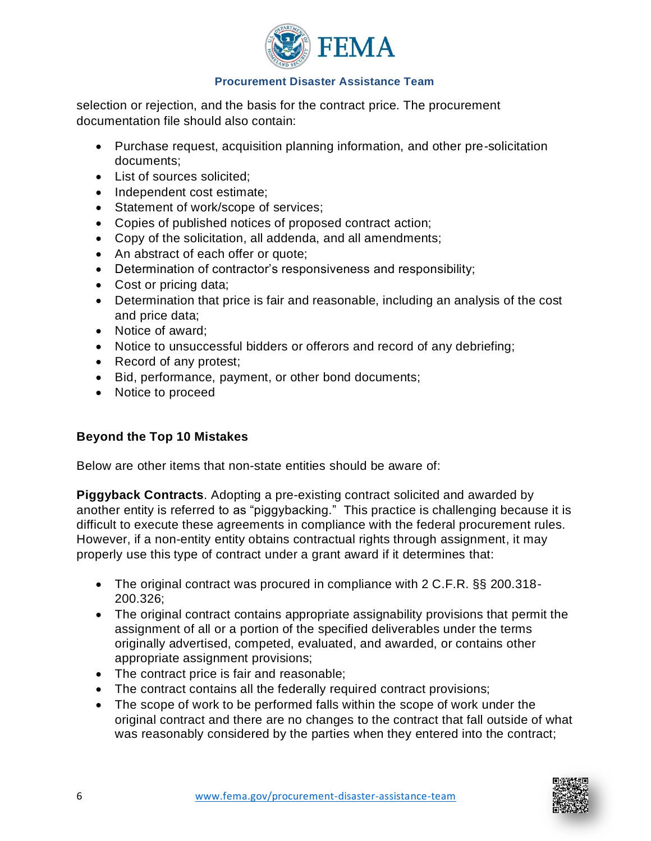

selection or rejection, and the basis for the contract price. The procurement documentation file should also contain:

- Purchase request, acquisition planning information, and other pre-solicitation documents;
- List of sources solicited;
- Independent cost estimate;
- Statement of work/scope of services;
- Copies of published notices of proposed contract action;
- Copy of the solicitation, all addenda, and all amendments;
- An abstract of each offer or quote;
- Determination of contractor's responsiveness and responsibility;
- Cost or pricing data;
- Determination that price is fair and reasonable, including an analysis of the cost and price data;
- Notice of award;
- Notice to unsuccessful bidders or offerors and record of any debriefing;
- Record of any protest;
- Bid, performance, payment, or other bond documents;
- Notice to proceed

#### **Beyond the Top 10 Mistakes**

Below are other items that non-state entities should be aware of:

 another entity is referred to as "piggybacking." This practice is challenging because it is **Piggyback Contracts**. Adopting a pre-existing contract solicited and awarded by difficult to execute these agreements in compliance with the federal procurement rules. However, if a non-entity entity obtains contractual rights through assignment, it may properly use this type of contract under a grant award if it determines that:

- The original contract was procured in compliance with 2 C.F.R. §§ 200.318-200.326;
- The original contract contains appropriate assignability provisions that permit the assignment of all or a portion of the specified deliverables under the terms originally advertised, competed, evaluated, and awarded, or contains other appropriate assignment provisions;
- The contract price is fair and reasonable;
- The contract contains all the federally required contract provisions;
- The scope of work to be performed falls within the scope of work under the original contract and there are no changes to the contract that fall outside of what was reasonably considered by the parties when they entered into the contract;